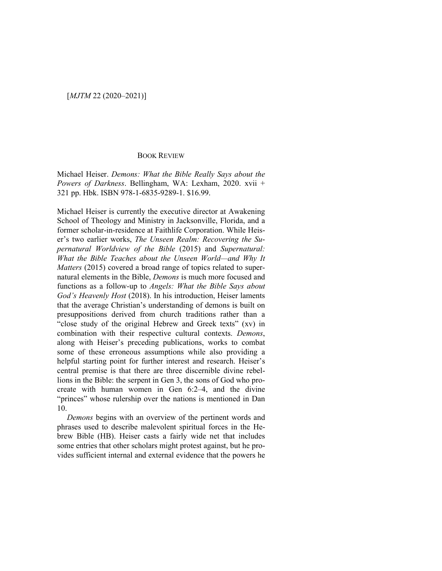## BOOK REVIEW

Michael Heiser. *Demons: What the Bible Really Says about the Powers of Darkness*. Bellingham, WA: Lexham, 2020. xvii + 321 pp. Hbk. ISBN 978-1-6835-9289-1. \$16.99.

Michael Heiser is currently the executive director at Awakening School of Theology and Ministry in Jacksonville, Florida, and a former scholar-in-residence at Faithlife Corporation. While Heiser's two earlier works, *The Unseen Realm: Recovering the Supernatural Worldview of the Bible* (2015) and *Supernatural: What the Bible Teaches about the Unseen World—and Why It Matters* (2015) covered a broad range of topics related to supernatural elements in the Bible, *Demons* is much more focused and functions as a follow-up to *Angels: What the Bible Says about God's Heavenly Host* (2018). In his introduction, Heiser laments that the average Christian's understanding of demons is built on presuppositions derived from church traditions rather than a "close study of the original Hebrew and Greek texts" (xv) in combination with their respective cultural contexts. *Demons*, along with Heiser's preceding publications, works to combat some of these erroneous assumptions while also providing a helpful starting point for further interest and research. Heiser's central premise is that there are three discernible divine rebellions in the Bible: the serpent in Gen 3, the sons of God who procreate with human women in Gen 6:2–4, and the divine "princes" whose rulership over the nations is mentioned in Dan 10.

*Demons* begins with an overview of the pertinent words and phrases used to describe malevolent spiritual forces in the Hebrew Bible (HB). Heiser casts a fairly wide net that includes some entries that other scholars might protest against, but he provides sufficient internal and external evidence that the powers he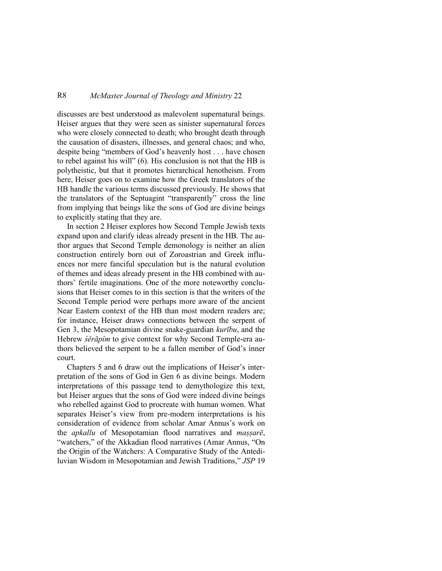## R8 *McMaster Journal of Theology and Ministry* 22

discusses are best understood as malevolent supernatural beings. Heiser argues that they were seen as sinister supernatural forces who were closely connected to death; who brought death through the causation of disasters, illnesses, and general chaos; and who, despite being "members of God's heavenly host . . . have chosen to rebel against his will" (6). His conclusion is not that the HB is polytheistic, but that it promotes hierarchical henotheism. From here, Heiser goes on to examine how the Greek translators of the HB handle the various terms discussed previously. He shows that the translators of the Septuagint "transparently" cross the line from implying that beings like the sons of God are divine beings to explicitly stating that they are.

In section 2 Heiser explores how Second Temple Jewish texts expand upon and clarify ideas already present in the HB. The author argues that Second Temple demonology is neither an alien construction entirely born out of Zoroastrian and Greek influences nor mere fanciful speculation but is the natural evolution of themes and ideas already present in the HB combined with authors' fertile imaginations. One of the more noteworthy conclusions that Heiser comes to in this section is that the writers of the Second Temple period were perhaps more aware of the ancient Near Eastern context of the HB than most modern readers are; for instance, Heiser draws connections between the serpent of Gen 3, the Mesopotamian divine snake-guardian *kurību*, and the Hebrew *śěrāpîm* to give context for why Second Temple-era authors believed the serpent to be a fallen member of God's inner court.

Chapters 5 and 6 draw out the implications of Heiser's interpretation of the sons of God in Gen 6 as divine beings. Modern interpretations of this passage tend to demythologize this text, but Heiser argues that the sons of God were indeed divine beings who rebelled against God to procreate with human women. What separates Heiser's view from pre-modern interpretations is his consideration of evidence from scholar Amar Annus's work on the *apkallu* of Mesopotamian flood narratives and *maṣṣarē*, "watchers," of the Akkadian flood narratives (Amar Annus, "On the Origin of the Watchers: A Comparative Study of the Antediluvian Wisdom in Mesopotamian and Jewish Traditions," *JSP* 19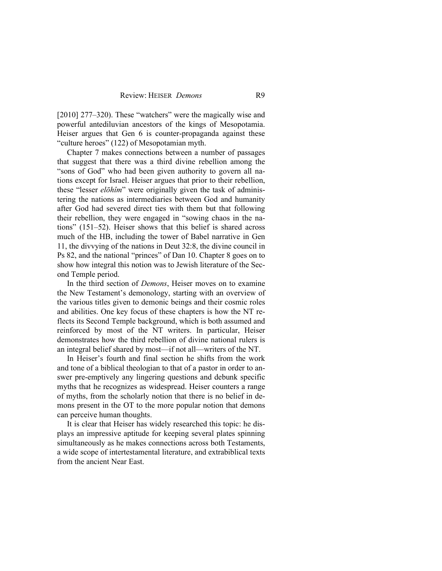[2010] 277–320). These "watchers" were the magically wise and powerful antediluvian ancestors of the kings of Mesopotamia. Heiser argues that Gen 6 is counter-propaganda against these "culture heroes" (122) of Mesopotamian myth.

Chapter 7 makes connections between a number of passages that suggest that there was a third divine rebellion among the "sons of God" who had been given authority to govern all nations except for Israel. Heiser argues that prior to their rebellion, these "lesser *elōhîm*" were originally given the task of administering the nations as intermediaries between God and humanity after God had severed direct ties with them but that following their rebellion, they were engaged in "sowing chaos in the nations" (151–52). Heiser shows that this belief is shared across much of the HB, including the tower of Babel narrative in Gen 11, the divvying of the nations in Deut 32:8, the divine council in Ps 82, and the national "princes" of Dan 10. Chapter 8 goes on to show how integral this notion was to Jewish literature of the Second Temple period.

In the third section of *Demons*, Heiser moves on to examine the New Testament's demonology, starting with an overview of the various titles given to demonic beings and their cosmic roles and abilities. One key focus of these chapters is how the NT reflects its Second Temple background, which is both assumed and reinforced by most of the NT writers. In particular, Heiser demonstrates how the third rebellion of divine national rulers is an integral belief shared by most—if not all—writers of the NT.

In Heiser's fourth and final section he shifts from the work and tone of a biblical theologian to that of a pastor in order to answer pre-emptively any lingering questions and debunk specific myths that he recognizes as widespread. Heiser counters a range of myths, from the scholarly notion that there is no belief in demons present in the OT to the more popular notion that demons can perceive human thoughts.

It is clear that Heiser has widely researched this topic: he displays an impressive aptitude for keeping several plates spinning simultaneously as he makes connections across both Testaments, a wide scope of intertestamental literature, and extrabiblical texts from the ancient Near East.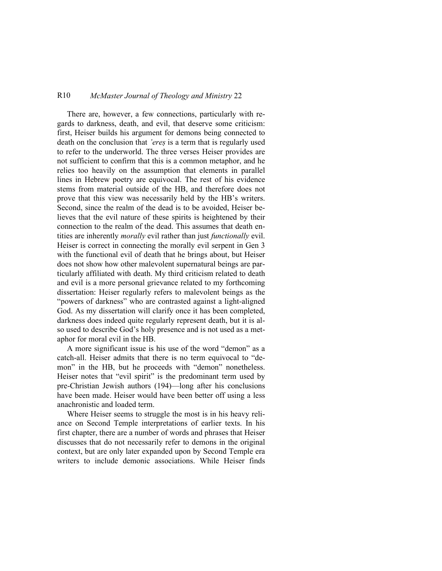## R10 *McMaster Journal of Theology and Ministry* 22

There are, however, a few connections, particularly with regards to darkness, death, and evil, that deserve some criticism: first, Heiser builds his argument for demons being connected to death on the conclusion that *'ereṣ* is a term that is regularly used to refer to the underworld. The three verses Heiser provides are not sufficient to confirm that this is a common metaphor, and he relies too heavily on the assumption that elements in parallel lines in Hebrew poetry are equivocal. The rest of his evidence stems from material outside of the HB, and therefore does not prove that this view was necessarily held by the HB's writers. Second, since the realm of the dead is to be avoided, Heiser believes that the evil nature of these spirits is heightened by their connection to the realm of the dead. This assumes that death entities are inherently *morally* evil rather than just *functionally* evil. Heiser is correct in connecting the morally evil serpent in Gen 3 with the functional evil of death that he brings about, but Heiser does not show how other malevolent supernatural beings are particularly affiliated with death. My third criticism related to death and evil is a more personal grievance related to my forthcoming dissertation: Heiser regularly refers to malevolent beings as the "powers of darkness" who are contrasted against a light-aligned God. As my dissertation will clarify once it has been completed, darkness does indeed quite regularly represent death, but it is also used to describe God's holy presence and is not used as a metaphor for moral evil in the HB.

A more significant issue is his use of the word "demon" as a catch-all. Heiser admits that there is no term equivocal to "demon" in the HB, but he proceeds with "demon" nonetheless. Heiser notes that "evil spirit" is the predominant term used by pre-Christian Jewish authors (194)—long after his conclusions have been made. Heiser would have been better off using a less anachronistic and loaded term.

Where Heiser seems to struggle the most is in his heavy reliance on Second Temple interpretations of earlier texts. In his first chapter, there are a number of words and phrases that Heiser discusses that do not necessarily refer to demons in the original context, but are only later expanded upon by Second Temple era writers to include demonic associations. While Heiser finds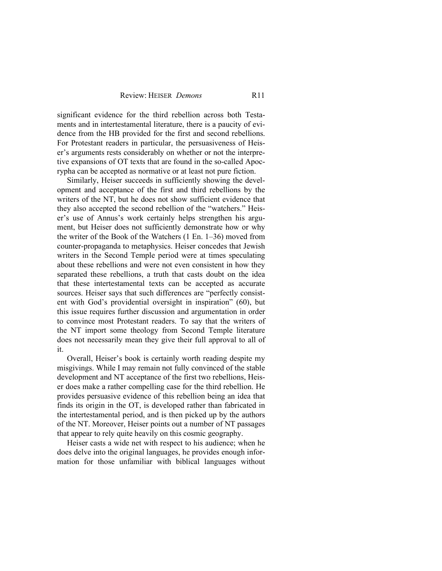significant evidence for the third rebellion across both Testaments and in intertestamental literature, there is a paucity of evidence from the HB provided for the first and second rebellions. For Protestant readers in particular, the persuasiveness of Heiser's arguments rests considerably on whether or not the interpretive expansions of OT texts that are found in the so-called Apocrypha can be accepted as normative or at least not pure fiction.

Similarly, Heiser succeeds in sufficiently showing the development and acceptance of the first and third rebellions by the writers of the NT, but he does not show sufficient evidence that they also accepted the second rebellion of the "watchers." Heiser's use of Annus's work certainly helps strengthen his argument, but Heiser does not sufficiently demonstrate how or why the writer of the Book of the Watchers (1 En. 1–36) moved from counter-propaganda to metaphysics. Heiser concedes that Jewish writers in the Second Temple period were at times speculating about these rebellions and were not even consistent in how they separated these rebellions, a truth that casts doubt on the idea that these intertestamental texts can be accepted as accurate sources. Heiser says that such differences are "perfectly consistent with God's providential oversight in inspiration" (60), but this issue requires further discussion and argumentation in order to convince most Protestant readers. To say that the writers of the NT import some theology from Second Temple literature does not necessarily mean they give their full approval to all of it.

Overall, Heiser's book is certainly worth reading despite my misgivings. While I may remain not fully convinced of the stable development and NT acceptance of the first two rebellions, Heiser does make a rather compelling case for the third rebellion. He provides persuasive evidence of this rebellion being an idea that finds its origin in the OT, is developed rather than fabricated in the intertestamental period, and is then picked up by the authors of the NT. Moreover, Heiser points out a number of NT passages that appear to rely quite heavily on this cosmic geography.

Heiser casts a wide net with respect to his audience; when he does delve into the original languages, he provides enough information for those unfamiliar with biblical languages without